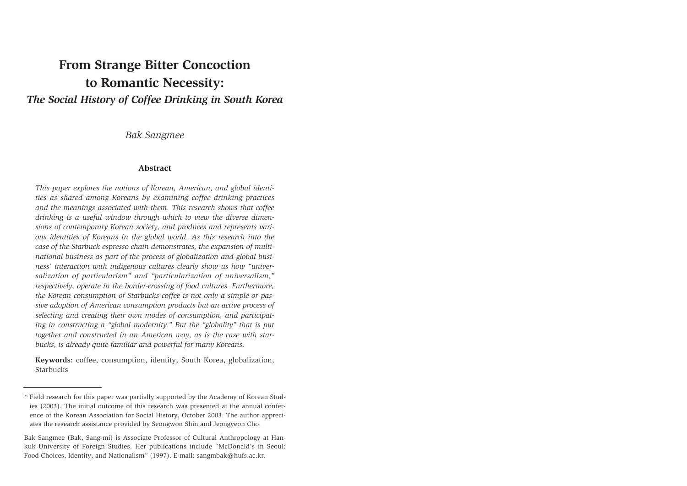# **From Strange Bitter Concoction to Romantic Necessity:** *The Social History of Coffee Drinking in South Korea*

*Bak Sangmee*

## **Abstract**

*This paper explores the notions of Korean, American, and global identities as shared among Koreans by examining coffee drinking practices and the meanings associated with them. This research shows that coffee drinking is a useful window through which to view the diverse dimensions of contemporary Korean society, and produces and represents various identities of Koreans in the global world. As this research into the case of the Starbuck espresso chain demonstrates, the expansion of multinational business as part of the process of globalization and global business' interaction with indigenous cultures clearly show us how "universalization of particularism" and "particularization of universalism," respectively, operate in the border-crossing of food cultures. Furthermore, the Korean consumption of Starbucks coffee is not only a simple or passive adoption of American consumption products but an active process of selecting and creating their own modes of consumption, and participating in constructing a "global modernity." But the "globality" that is put together and constructed in an American way, as is the case with starbucks, is already quite familiar and powerful for many Koreans.*

**Keywords:** coffee, consumption, identity, South Korea, globalization, Starbucks

<sup>\*</sup> Field research for this paper was partially supported by the Academy of Korean Studies (2003). The initial outcome of this research was presented at the annual conference of the Korean Association for Social History, October 2003. The author appreciates the research assistance provided by Seongwon Shin and Jeongyeon Cho.

Bak Sangmee (Bak, Sang-mi) is Associate Professor of Cultural Anthropology at Hankuk University of Foreign Studies. Her publications include "McDonald's in Seoul: Food Choices, Identity, and Nationalism" (1997). E-mail: sangmbak@hufs.ac.kr.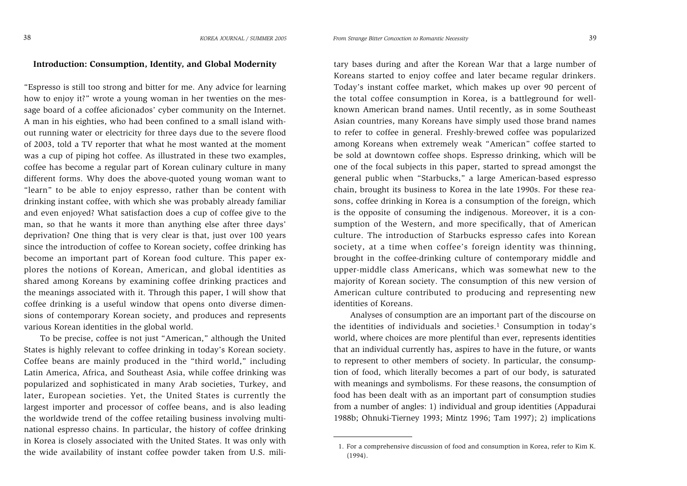## **Introduction: Consumption, Identity, and Global Modernity**

"Espresso is still too strong and bitter for me. Any advice for learning how to enjoy it?" wrote a young woman in her twenties on the message board of a coffee aficionados' cyber community on the Internet. A man in his eighties, who had been confined to a small island without running water or electricity for three days due to the severe flood of 2003, told a TV reporter that what he most wanted at the moment was a cup of piping hot coffee. As illustrated in these two examples, coffee has become a regular part of Korean culinary culture in many different forms. Why does the above-quoted young woman want to "learn" to be able to enjoy espresso, rather than be content with drinking instant coffee, with which she was probably already familiar and even enjoyed? What satisfaction does a cup of coffee give to the man, so that he wants it more than anything else after three days' deprivation? One thing that is very clear is that, just over 100 years since the introduction of coffee to Korean society, coffee drinking has become an important part of Korean food culture. This paper explores the notions of Korean, American, and global identities as shared among Koreans by examining coffee drinking practices and the meanings associated with it. Through this paper, I will show that coffee drinking is a useful window that opens onto diverse dimensions of contemporary Korean society, and produces and represents various Korean identities in the global world.

To be precise, coffee is not just "American," although the United States is highly relevant to coffee drinking in today's Korean society. Coffee beans are mainly produced in the "third world," including Latin America, Africa, and Southeast Asia, while coffee drinking was popularized and sophisticated in many Arab societies, Turkey, and later, European societies. Yet, the United States is currently the largest importer and processor of coffee beans, and is also leading the worldwide trend of the coffee retailing business involving multinational espresso chains. In particular, the history of coffee drinking in Korea is closely associated with the United States. It was only with It is the wide availability of instant coffee powder taken from U.S. mili-<br>
1. For a comprehensive discussion of food and consumption in Korea, refer to Kim K.<br>
(1994).

tary bases during and after the Korean War that a large number of Koreans started to enjoy coffee and later became regular drinkers. Today's instant coffee market, which makes up over 90 percent of the total coffee consumption in Korea, is a battleground for wellknown American brand names. Until recently, as in some Southeast Asian countries, many Koreans have simply used those brand names to refer to coffee in general. Freshly-brewed coffee was popularized among Koreans when extremely weak "American" coffee started to be sold at downtown coffee shops. Espresso drinking, which will be one of the focal subjects in this paper, started to spread amongst the general public when "Starbucks," a large American-based espresso chain, brought its business to Korea in the late 1990s. For these reasons, coffee drinking in Korea is a consumption of the foreign, which is the opposite of consuming the indigenous. Moreover, it is a consumption of the Western, and more specifically, that of American culture. The introduction of Starbucks espresso cafes into Korean society, at a time when coffee's foreign identity was thinning, brought in the coffee-drinking culture of contemporary middle and upper-middle class Americans, which was somewhat new to the majority of Korean society. The consumption of this new version of American culture contributed to producing and representing new identities of Koreans.

Analyses of consumption are an important part of the discourse on the identities of individuals and societies.<sup>1</sup> Consumption in today's world, where choices are more plentiful than ever, represents identities that an individual currently has, aspires to have in the future, or wants to represent to other members of society. In particular, the consumption of food, which literally becomes a part of our body, is saturated with meanings and symbolisms. For these reasons, the consumption of food has been dealt with as an important part of consumption studies from a number of angles: 1) individual and group identities (Appadurai 1988b; Ohnuki-Tierney 1993; Mintz 1996; Tam 1997); 2) implications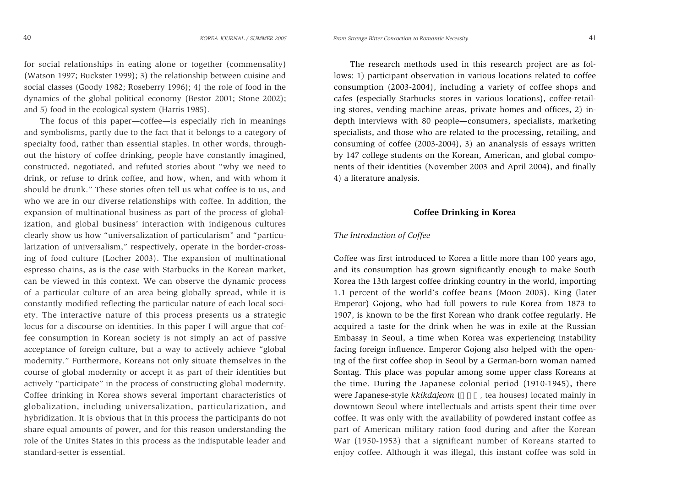for social relationships in eating alone or together (commensality) (Watson 1997; Buckster 1999); 3) the relationship between cuisine and social classes (Goody 1982; Roseberry 1996); 4) the role of food in the dynamics of the global political economy (Bestor 2001; Stone 2002); and 5) food in the ecological system (Harris 1985).

The focus of this paper—coffee—is especially rich in meanings and symbolisms, partly due to the fact that it belongs to a category of specialty food, rather than essential staples. In other words, throughout the history of coffee drinking, people have constantly imagined, constructed, negotiated, and refuted stories about "why we need to drink, or refuse to drink coffee, and how, when, and with whom it should be drunk." These stories often tell us what coffee is to us, and who we are in our diverse relationships with coffee. In addition, the expansion of multinational business as part of the process of globalization, and global business' interaction with indigenous cultures clearly show us how "universalization of particularism" and "particularization of universalism," respectively, operate in the border-crossing of food culture (Locher 2003). The expansion of multinational espresso chains, as is the case with Starbucks in the Korean market, can be viewed in this context. We can observe the dynamic process of a particular culture of an area being globally spread, while it is constantly modified reflecting the particular nature of each local society. The interactive nature of this process presents us a strategic locus for a discourse on identities. In this paper I will argue that coffee consumption in Korean society is not simply an act of passive acceptance of foreign culture, but a way to actively achieve "global modernity." Furthermore, Koreans not only situate themselves in the course of global modernity or accept it as part of their identities but actively "participate" in the process of constructing global modernity. Coffee drinking in Korea shows several important characteristics of globalization, including universalization, particularization, and hybridization. It is obvious that in this process the participants do not share equal amounts of power, and for this reason understanding the role of the Unites States in this process as the indisputable leader and standard-setter is essential.

*From Strange Bitter Concoction to Romantic Necessity* 41

The research methods used in this research project are as follows: 1) participant observation in various locations related to coffee consumption (2003-2004), including a variety of coffee shops and cafes (especially Starbucks stores in various locations), coffee-retailing stores, vending machine areas, private homes and offices, 2) indepth interviews with 80 people—consumers, specialists, marketing specialists, and those who are related to the processing, retailing, and consuming of coffee (2003-2004), 3) an ananalysis of essays written by 147 college students on the Korean, American, and global components of their identities (November 2003 and April 2004), and finally 4) a literature analysis.

# **Coffee Drinking in Korea**

#### *The Introduction of Coffee*

Coffee was first introduced to Korea a little more than 100 years ago, and its consumption has grown significantly enough to make South Korea the 13th largest coffee drinking country in the world, importing 1.1 percent of the world's coffee beans (Moon 2003). King (later Emperor) Gojong, who had full powers to rule Korea from 1873 to 1907, is known to be the first Korean who drank coffee regularly. He acquired a taste for the drink when he was in exile at the Russian Embassy in Seoul, a time when Korea was experiencing instability facing foreign influence. Emperor Gojong also helped with the opening of the first coffee shop in Seoul by a German-born woman named Sontag. This place was popular among some upper class Koreans at the time. During the Japanese colonial period (1910-1945), there were Japanese-style *kkikdajeom* ( , tea houses) located mainly in downtown Seoul where intellectuals and artists spent their time over coffee. It was only with the availability of powdered instant coffee as part of American military ration food during and after the Korean War (1950-1953) that a significant number of Koreans started to enjoy coffee. Although it was illegal, this instant coffee was sold in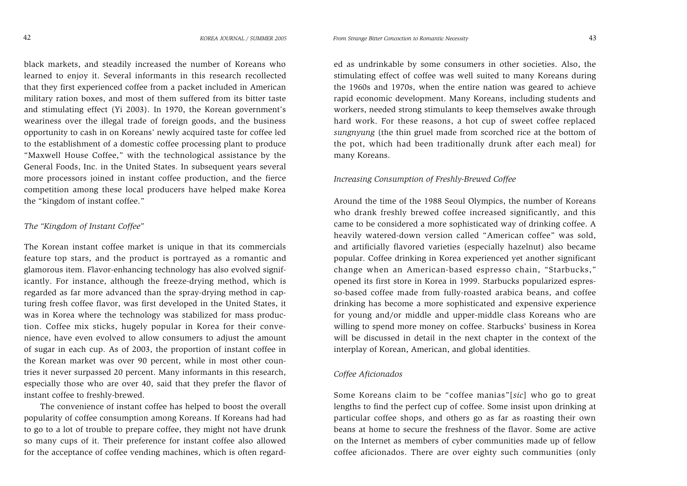black markets, and steadily increased the number of Koreans who learned to enjoy it. Several informants in this research recollected that they first experienced coffee from a packet included in American military ration boxes, and most of them suffered from its bitter taste and stimulating effect (Yi 2003). In 1970, the Korean government's weariness over the illegal trade of foreign goods, and the business opportunity to cash in on Koreans' newly acquired taste for coffee led to the establishment of a domestic coffee processing plant to produce "Maxwell House Coffee," with the technological assistance by the General Foods, Inc. in the United States. In subsequent years several more processors joined in instant coffee production, and the fierce competition among these local producers have helped make Korea the "kingdom of instant coffee."

## *The "Kingdom of Instant Coffee"*

The Korean instant coffee market is unique in that its commercials feature top stars, and the product is portrayed as a romantic and glamorous item. Flavor-enhancing technology has also evolved significantly. For instance, although the freeze-drying method, which is regarded as far more advanced than the spray-drying method in capturing fresh coffee flavor, was first developed in the United States, it was in Korea where the technology was stabilized for mass production. Coffee mix sticks, hugely popular in Korea for their convenience, have even evolved to allow consumers to adjust the amount of sugar in each cup. As of 2003, the proportion of instant coffee in the Korean market was over 90 percent, while in most other countries it never surpassed 20 percent. Many informants in this research, especially those who are over 40, said that they prefer the flavor of instant coffee to freshly-brewed.

The convenience of instant coffee has helped to boost the overall popularity of coffee consumption among Koreans. If Koreans had had to go to a lot of trouble to prepare coffee, they might not have drunk so many cups of it. Their preference for instant coffee also allowed for the acceptance of coffee vending machines, which is often regard-

ed as undrinkable by some consumers in other societies. Also, the stimulating effect of coffee was well suited to many Koreans during the 1960s and 1970s, when the entire nation was geared to achieve rapid economic development. Many Koreans, including students and workers, needed strong stimulants to keep themselves awake through hard work. For these reasons, a hot cup of sweet coffee replaced *sungnyung* (the thin gruel made from scorched rice at the bottom of the pot, which had been traditionally drunk after each meal) for many Koreans.

# *Increasing Consumption of Freshly-Brewed Coffee*

Around the time of the 1988 Seoul Olympics, the number of Koreans who drank freshly brewed coffee increased significantly, and this came to be considered a more sophisticated way of drinking coffee. A heavily watered-down version called "American coffee" was sold, and artificially flavored varieties (especially hazelnut) also became popular. Coffee drinking in Korea experienced yet another significant change when an American-based espresso chain, "Starbucks," opened its first store in Korea in 1999. Starbucks popularized espresso-based coffee made from fully-roasted arabica beans, and coffee drinking has become a more sophisticated and expensive experience for young and/or middle and upper-middle class Koreans who are willing to spend more money on coffee. Starbucks' business in Korea will be discussed in detail in the next chapter in the context of the interplay of Korean, American, and global identities.

# *Coffee Aficionados*

Some Koreans claim to be "coffee manias"[*sic*] who go to great lengths to find the perfect cup of coffee. Some insist upon drinking at particular coffee shops, and others go as far as roasting their own beans at home to secure the freshness of the flavor. Some are active on the Internet as members of cyber communities made up of fellow coffee aficionados. There are over eighty such communities (only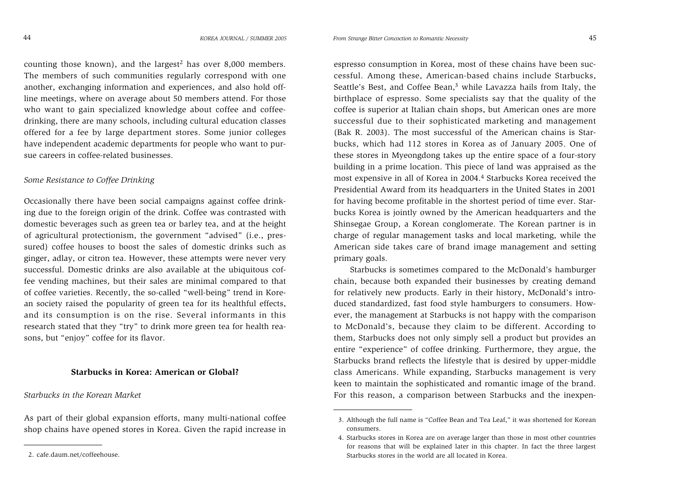counting those known), and the largest<sup>2</sup> has over 8,000 members. The members of such communities regularly correspond with one another, exchanging information and experiences, and also hold off line meetings, where on average about 50 members attend. For those who want to gain specialized knowledge about coffee and coffee drinking, there are many schools, including cultural education classes offered for a fee by large department stores. Some junior colleges have independent academic departments for people who want to pur sue careers in coffee-related businesses.

#### *Some Resistance to Coffee Drinking*

Occasionally there have been social campaigns against coffee drink ing due to the foreign origin of the drink. Coffee was contrasted with domestic beverages such as green tea or barley tea, and at the height of agricultural protectionism, the government "advised" (i.e., pres sured) coffee houses to boost the sales of domestic drinks such as ginger, adlay, or citron tea. However, these attempts were never very successful. Domestic drinks are also available at the ubiquitous cof fee vending machines, but their sales are minimal compared to that of coffee varieties. Recently, the so-called "well-being" trend in Kore an society raised the popularity of green tea for its healthful effects, and its consumption is on the rise. Several informants in this research stated that they "try" to drink more green tea for health rea sons, but "enjoy" coffee for its flavor.

## **Starbucks in Korea: American or Global?**

## *Starbucks in the Korean Market*

As part of their global expansion efforts, many multi-national coffee shop chains have opened stores in Korea. Given the rapid increase in

*From Strange Bitter Concoction to Romantic Necessity* 45

espresso consumption in Korea, most of these chains have been successful. Among these, American-based chains include Starbucks, Seattle's Best, and Coffee Bean,<sup>3</sup> while Lavazza hails from Italy, the birthplace of espresso. Some specialists say that the quality of the coffee is superior at Italian chain shops, but American ones are more successful due to their sophisticated marketing and management (Bak R. 2003). The most successful of the American chains is Starbucks, which had 112 stores in Korea as of January 2005. One of these stores in Myeongdong takes up the entire space of a four-story building in a prime location. This piece of land was appraised as the most expensive in all of Korea in 2004.4 Starbucks Korea received the Presidential Award from its headquarters in the United States in 2001 for having become profitable in the shortest period of time ever. Starbucks Korea is jointly owned by the American headquarters and the Shinsegae Group, a Korean conglomerate. The Korean partner is in charge of regular management tasks and local marketing, while the American side takes care of brand image management and setting primary goals.

Starbucks is sometimes compared to the McDonald's hamburger chain, because both expanded their businesses by creating demand for relatively new products. Early in their history, McDonald's introduced standardized, fast food style hamburgers to consumers. However, the management at Starbucks is not happy with the comparison to McDonald's, because they claim to be different. According to them, Starbucks does not only simply sell a product but provides an entire "experience" of coffee drinking. Furthermore, they argue, the Starbucks brand reflects the lifestyle that is desired by upper-middle class Americans. While expanding, Starbucks management is very keen to maintain the sophisticated and romantic image of the brand. For this reason, a comparison between Starbucks and the inexpen-

<sup>3.</sup> Although the full name is "Coffee Bean and Tea Leaf," it was shortened for Korean consumers.

<sup>4.</sup> Starbucks stores in Korea are on average larger than those in most other countries for reasons that will be explained later in this chapter. In fact the three largest 2. cafe.daum.net/coffeehouse. Starbucks stores in the world are all located in Korea.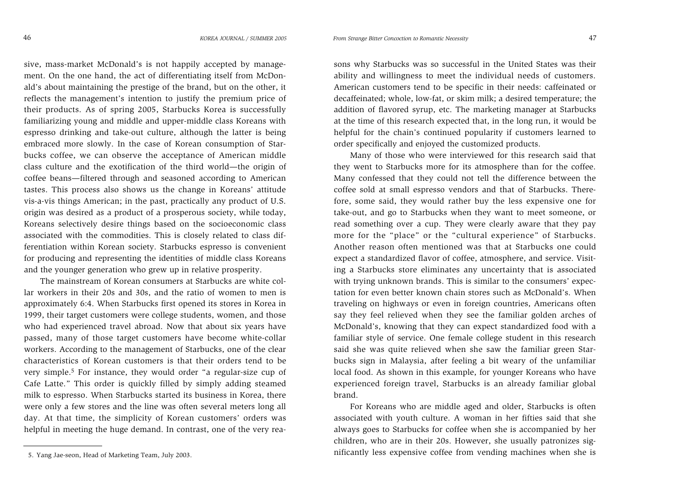*From Strange Bitter Concoction to Romantic Necessity* 47

sive, mass-market McDonald's is not happily accepted by management. On the one hand, the act of differentiating itself from McDonald's about maintaining the prestige of the brand, but on the other, it reflects the management's intention to justify the premium price of their products. As of spring 2005, Starbucks Korea is successfully familiarizing young and middle and upper-middle class Koreans with espresso drinking and take-out culture, although the latter is being embraced more slowly. In the case of Korean consumption of Starbucks coffee, we can observe the acceptance of American middle class culture and the exotification of the third world—the origin of coffee beans—filtered through and seasoned according to American tastes. This process also shows us the change in Koreans' attitude vis-a-vis things American; in the past, practically any product of U.S. origin was desired as a product of a prosperous society, while today, Koreans selectively desire things based on the socioeconomic class associated with the commodities. This is closely related to class differentiation within Korean society. Starbucks espresso is convenient for producing and representing the identities of middle class Koreans and the younger generation who grew up in relative prosperity.

The mainstream of Korean consumers at Starbucks are white collar workers in their 20s and 30s, and the ratio of women to men is approximately 6:4. When Starbucks first opened its stores in Korea in 1999, their target customers were college students, women, and those who had experienced travel abroad. Now that about six years have passed, many of those target customers have become white-collar workers. According to the management of Starbucks, one of the clear characteristics of Korean customers is that their orders tend to be very simple.5 For instance, they would order "a regular-size cup of Cafe Latte." This order is quickly filled by simply adding steamed milk to espresso. When Starbucks started its business in Korea, there were only a few stores and the line was often several meters long all day. At that time, the simplicity of Korean customers' orders was helpful in meeting the huge demand. In contrast, one of the very rea-

sons why Starbucks was so successful in the United States was their ability and willingness to meet the individual needs of customers. American customers tend to be specific in their needs: caffeinated or decaffeinated; whole, low-fat, or skim milk; a desired temperature; the addition of flavored syrup, etc. The marketing manager at Starbucks at the time of this research expected that, in the long run, it would be helpful for the chain's continued popularity if customers learned to order specifically and enjoyed the customized products.

Many of those who were interviewed for this research said that they went to Starbucks more for its atmosphere than for the coffee. Many confessed that they could not tell the difference between the coffee sold at small espresso vendors and that of Starbucks. Therefore, some said, they would rather buy the less expensive one for take-out, and go to Starbucks when they want to meet someone, or read something over a cup. They were clearly aware that they pay more for the "place" or the "cultural experience" of Starbucks. Another reason often mentioned was that at Starbucks one could expect a standardized flavor of coffee, atmosphere, and service. Visiting a Starbucks store eliminates any uncertainty that is associated with trying unknown brands. This is similar to the consumers' expectation for even better known chain stores such as McDonald's. When traveling on highways or even in foreign countries, Americans often say they feel relieved when they see the familiar golden arches of McDonald's, knowing that they can expect standardized food with a familiar style of service. One female college student in this research said she was quite relieved when she saw the familiar green Starbucks sign in Malaysia, after feeling a bit weary of the unfamiliar local food. As shown in this example, for younger Koreans who have experienced foreign travel, Starbucks is an already familiar global brand.

For Koreans who are middle aged and older, Starbucks is often associated with youth culture. A woman in her fifties said that she always goes to Starbucks for coffee when she is accompanied by her children, who are in their 20s. However, she usually patronizes significantly less expensive coffee from vending machines when she is

<sup>5.</sup> Yang Jae-seon, Head of Marketing Team, July 2003.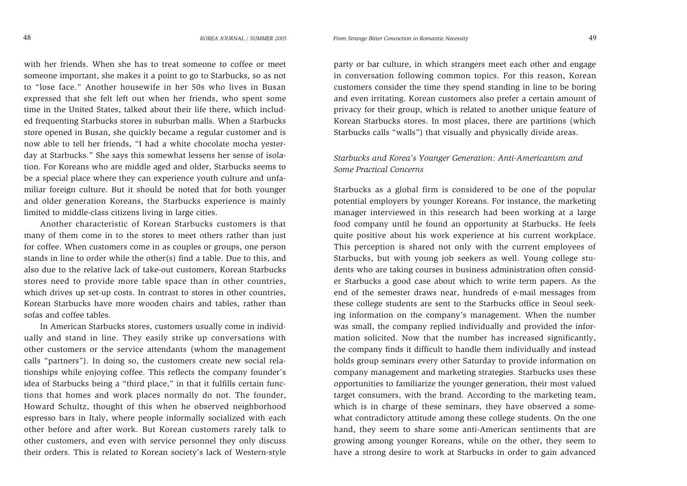with her friends. When she has to treat someone to coffee or meet someone important, she makes it a point to go to Starbucks, so as not to "lose face." Another housewife in her 50s who lives in Busan expressed that she felt left out when her friends, who spent some time in the United States, talked about their life there, which included frequenting Starbucks stores in suburban malls. When a Starbucks store opened in Busan, she quickly became a regular customer and is now able to tell her friends, "I had a white chocolate mocha yesterday at Starbucks." She says this somewhat lessens her sense of isolation. For Koreans who are middle aged and older, Starbucks seems to be a special place where they can experience youth culture and unfamiliar foreign culture. But it should be noted that for both younger and older generation Koreans, the Starbucks experience is mainly limited to middle-class citizens living in large cities.

Another characteristic of Korean Starbucks customers is that many of them come in to the stores to meet others rather than just for coffee. When customers come in as couples or groups, one person stands in line to order while the other(s) find a table. Due to this, and also due to the relative lack of take-out customers, Korean Starbucks stores need to provide more table space than in other countries, which drives up set-up costs. In contrast to stores in other countries, Korean Starbucks have more wooden chairs and tables, rather than sofas and coffee tables.

In American Starbucks stores, customers usually come in individually and stand in line. They easily strike up conversations with other customers or the service attendants (whom the management calls "partners"). In doing so, the customers create new social relationships while enjoying coffee. This reflects the company founder's idea of Starbucks being a "third place," in that it fulfills certain functions that homes and work places normally do not. The founder, Howard Schultz, thought of this when he observed neighborhood espresso bars in Italy, where people informally socialized with each other before and after work. But Korean customers rarely talk to other customers, and even with service personnel they only discuss their orders. This is related to Korean society's lack of Western-style

party or bar culture, in which strangers meet each other and engage in conversation following common topics. For this reason, Korean customers consider the time they spend standing in line to be boring and even irritating. Korean customers also prefer a certain amount of privacy for their group, which is related to another unique feature of Korean Starbucks stores. In most places, there are partitions (which Starbucks calls "walls") that visually and physically divide areas.

# *Starbucks and Korea's Younger Generation: Anti-Americanism and Some Practical Concerns*

Starbucks as a global firm is considered to be one of the popular potential employers by younger Koreans. For instance, the marketing manager interviewed in this research had been working at a large food company until he found an opportunity at Starbucks. He feels quite positive about his work experience at his current workplace. This perception is shared not only with the current employees of Starbucks, but with young job seekers as well. Young college students who are taking courses in business administration often consider Starbucks a good case about which to write term papers. As the end of the semester draws near, hundreds of e-mail messages from these college students are sent to the Starbucks office in Seoul seeking information on the company's management. When the number was small, the company replied individually and provided the information solicited. Now that the number has increased significantly, the company finds it difficult to handle them individually and instead holds group seminars every other Saturday to provide information on company management and marketing strategies. Starbucks uses these opportunities to familiarize the younger generation, their most valued target consumers, with the brand. According to the marketing team, which is in charge of these seminars, they have observed a somewhat contradictory attitude among these college students. On the one hand, they seem to share some anti-American sentiments that are growing among younger Koreans, while on the other, they seem to have a strong desire to work at Starbucks in order to gain advanced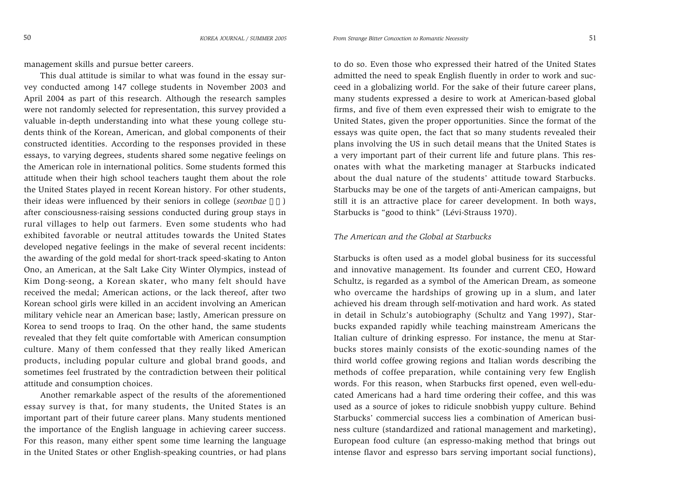management skills and pursue better careers.

This dual attitude is similar to what was found in the essay survey conducted among 147 college students in November 2003 and April 2004 as part of this research. Although the research samples were not randomly selected for representation, this survey provided a valuable in-depth understanding into what these young college students think of the Korean, American, and global components of their constructed identities. According to the responses provided in these essays, to varying degrees, students shared some negative feelings on the American role in international politics. Some students formed this attitude when their high school teachers taught them about the role the United States played in recent Korean history. For other students, their ideas were influenced by their seniors in college (*seonbae* ) after consciousness-raising sessions conducted during group stays in rural villages to help out farmers. Even some students who had exhibited favorable or neutral attitudes towards the United States developed negative feelings in the make of several recent incidents: the awarding of the gold medal for short-track speed-skating to Anton Ono, an American, at the Salt Lake City Winter Olympics, instead of Kim Dong-seong, a Korean skater, who many felt should have received the medal; American actions, or the lack thereof, after two Korean school girls were killed in an accident involving an American military vehicle near an American base; lastly, American pressure on Korea to send troops to Iraq. On the other hand, the same students revealed that they felt quite comfortable with American consumption culture. Many of them confessed that they really liked American products, including popular culture and global brand goods, and sometimes feel frustrated by the contradiction between their political attitude and consumption choices.

Another remarkable aspect of the results of the aforementioned essay survey is that, for many students, the United States is an important part of their future career plans. Many students mentioned the importance of the English language in achieving career success. For this reason, many either spent some time learning the language in the United States or other English-speaking countries, or had plans

to do so. Even those who expressed their hatred of the United States admitted the need to speak English fluently in order to work and succeed in a globalizing world. For the sake of their future career plans, many students expressed a desire to work at American-based global firms, and five of them even expressed their wish to emigrate to the United States, given the proper opportunities. Since the format of the essays was quite open, the fact that so many students revealed their plans involving the US in such detail means that the United States is a very important part of their current life and future plans. This resonates with what the marketing manager at Starbucks indicated about the dual nature of the students' attitude toward Starbucks. Starbucks may be one of the targets of anti-American campaigns, but still it is an attractive place for career development. In both ways, Starbucks is "good to think" (Lévi-Strauss 1970).

# *The American and the Global at Starbucks*

Starbucks is often used as a model global business for its successful and innovative management. Its founder and current CEO, Howard Schultz, is regarded as a symbol of the American Dream, as someone who overcame the hardships of growing up in a slum, and later achieved his dream through self-motivation and hard work. As stated in detail in Schulz's autobiography (Schultz and Yang 1997), Starbucks expanded rapidly while teaching mainstream Americans the Italian culture of drinking espresso. For instance, the menu at Starbucks stores mainly consists of the exotic-sounding names of the third world coffee growing regions and Italian words describing the methods of coffee preparation, while containing very few English words. For this reason, when Starbucks first opened, even well-educated Americans had a hard time ordering their coffee, and this was used as a source of jokes to ridicule snobbish yuppy culture. Behind Starbucks' commercial success lies a combination of American business culture (standardized and rational management and marketing), European food culture (an espresso-making method that brings out intense flavor and espresso bars serving important social functions),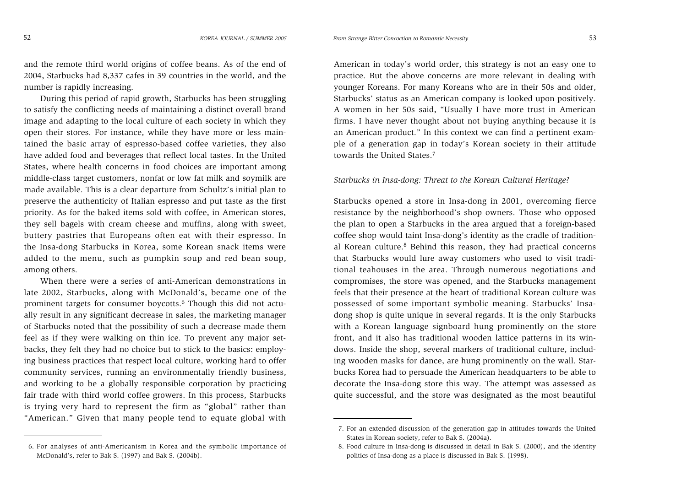and the remote third world origins of coffee beans. As of the end of 2004, Starbucks had 8,337 cafes in 39 countries in the world, and the number is rapidly increasing.

During this period of rapid growth, Starbucks has been struggling to satisfy the conflicting needs of maintaining a distinct overall brand image and adapting to the local culture of each society in which they open their stores. For instance, while they have more or less maintained the basic array of espresso-based coffee varieties, they also have added food and beverages that reflect local tastes. In the United States, where health concerns in food choices are important among middle-class target customers, nonfat or low fat milk and soymilk are made available. This is a clear departure from Schultz's initial plan to preserve the authenticity of Italian espresso and put taste as the first priority. As for the baked items sold with coffee, in American stores, they sell bagels with cream cheese and muffins, along with sweet, buttery pastries that Europeans often eat with their espresso. In the Insa-dong Starbucks in Korea, some Korean snack items were added to the menu, such as pumpkin soup and red bean soup, among others.

When there were a series of anti-American demonstrations in late 2002, Starbucks, along with McDonald's, became one of the prominent targets for consumer boycotts.6 Though this did not actually result in any significant decrease in sales, the marketing manager of Starbucks noted that the possibility of such a decrease made them feel as if they were walking on thin ice. To prevent any major setbacks, they felt they had no choice but to stick to the basics: employing business practices that respect local culture, working hard to offer community services, running an environmentally friendly business, and working to be a globally responsible corporation by practicing fair trade with third world coffee growers. In this process, Starbucks is trying very hard to represent the firm as "global" rather than "American." Given that many people tend to equate global with

6. For analyses of anti-Americanism in Korea and the symbolic importance of McDonald's, refer to Bak S. (1997) and Bak S. (2004b).

American in today's world order, this strategy is not an easy one to practice. But the above concerns are more relevant in dealing with younger Koreans. For many Koreans who are in their 50s and older, Starbucks' status as an American company is looked upon positively. A women in her 50s said, "Usually I have more trust in American firms. I have never thought about not buying anything because it is an American product." In this context we can find a pertinent example of a generation gap in today's Korean society in their attitude towards the United States.7

## *Starbucks in Insa-dong: Threat to the Korean Cultural Heritage?*

Starbucks opened a store in Insa-dong in 2001, overcoming fierce resistance by the neighborhood's shop owners. Those who opposed the plan to open a Starbucks in the area argued that a foreign-based coffee shop would taint Insa-dong's identity as the cradle of traditional Korean culture.8 Behind this reason, they had practical concerns that Starbucks would lure away customers who used to visit traditional teahouses in the area. Through numerous negotiations and compromises, the store was opened, and the Starbucks management feels that their presence at the heart of traditional Korean culture was possessed of some important symbolic meaning. Starbucks' Insadong shop is quite unique in several regards. It is the only Starbucks with a Korean language signboard hung prominently on the store front, and it also has traditional wooden lattice patterns in its windows. Inside the shop, several markers of traditional culture, including wooden masks for dance, are hung prominently on the wall. Starbucks Korea had to persuade the American headquarters to be able to decorate the Insa-dong store this way. The attempt was assessed as quite successful, and the store was designated as the most beautiful

<sup>7.</sup> For an extended discussion of the generation gap in attitudes towards the United States in Korean society, refer to Bak S. (2004a).

<sup>8.</sup> Food culture in Insa-dong is discussed in detail in Bak S. (2000), and the identity politics of Insa-dong as a place is discussed in Bak S. (1998).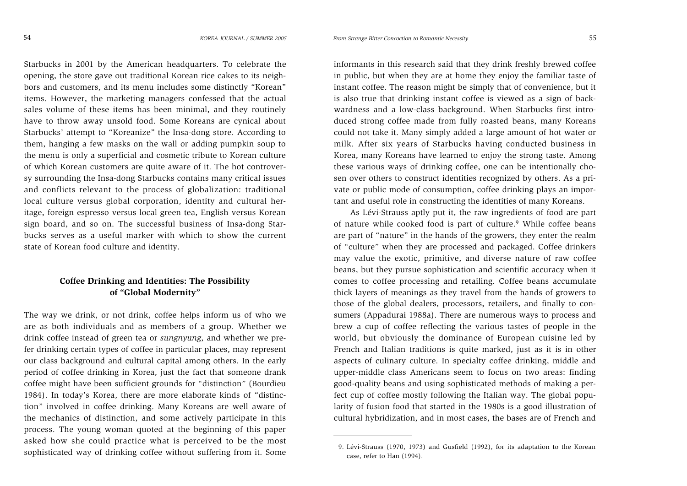Starbucks in 2001 by the American headquarters. To celebrate the opening, the store gave out traditional Korean rice cakes to its neighbors and customers, and its menu includes some distinctly "Korean" items. However, the marketing managers confessed that the actual sales volume of these items has been minimal, and they routinely have to throw away unsold food. Some Koreans are cynical about Starbucks' attempt to "Koreanize" the Insa-dong store. According to them, hanging a few masks on the wall or adding pumpkin soup to the menu is only a superficial and cosmetic tribute to Korean culture of which Korean customers are quite aware of it. The hot controversy surrounding the Insa-dong Starbucks contains many critical issues and conflicts relevant to the process of globalization: traditional local culture versus global corporation, identity and cultural heritage, foreign espresso versus local green tea, English versus Korean sign board, and so on. The successful business of Insa-dong Starbucks serves as a useful marker with which to show the current state of Korean food culture and identity.

# **Coffee Drinking and Identities: The Possibility of "Global Modernity"**

The way we drink, or not drink, coffee helps inform us of who we are as both individuals and as members of a group. Whether we drink coffee instead of green tea or *sungnyung*, and whether we prefer drinking certain types of coffee in particular places, may represent our class background and cultural capital among others. In the early period of coffee drinking in Korea, just the fact that someone drank coffee might have been sufficient grounds for "distinction" (Bourdieu 1984). In today's Korea, there are more elaborate kinds of "distinction" involved in coffee drinking. Many Koreans are well aware of the mechanics of distinction, and some actively participate in this process. The young woman quoted at the beginning of this paper asked how she could practice what is perceived to be the most sophisticated way of drinking coffee without suffering from it. Some

informants in this research said that they drink freshly brewed coffee in public, but when they are at home they enjoy the familiar taste of instant coffee. The reason might be simply that of convenience, but it is also true that drinking instant coffee is viewed as a sign of backwardness and a low-class background. When Starbucks first introduced strong coffee made from fully roasted beans, many Koreans could not take it. Many simply added a large amount of hot water or milk. After six years of Starbucks having conducted business in Korea, many Koreans have learned to enjoy the strong taste. Among these various ways of drinking coffee, one can be intentionally chosen over others to construct identities recognized by others. As a private or public mode of consumption, coffee drinking plays an important and useful role in constructing the identities of many Koreans.

As Lévi-Strauss aptly put it, the raw ingredients of food are part of nature while cooked food is part of culture.<sup>9</sup> While coffee beans are part of "nature" in the hands of the growers, they enter the realm of "culture" when they are processed and packaged. Coffee drinkers may value the exotic, primitive, and diverse nature of raw coffee beans, but they pursue sophistication and scientific accuracy when it comes to coffee processing and retailing. Coffee beans accumulate thick layers of meanings as they travel from the hands of growers to those of the global dealers, processors, retailers, and finally to consumers (Appadurai 1988a). There are numerous ways to process and brew a cup of coffee reflecting the various tastes of people in the world, but obviously the dominance of European cuisine led by French and Italian traditions is quite marked, just as it is in other aspects of culinary culture. In specialty coffee drinking, middle and upper-middle class Americans seem to focus on two areas: finding good-quality beans and using sophisticated methods of making a perfect cup of coffee mostly following the Italian way. The global popularity of fusion food that started in the 1980s is a good illustration of cultural hybridization, and in most cases, the bases are of French and

<sup>9.</sup> Lévi-Strauss (1970, 1973) and Gusfield (1992), for its adaptation to the Korean case, refer to Han (1994).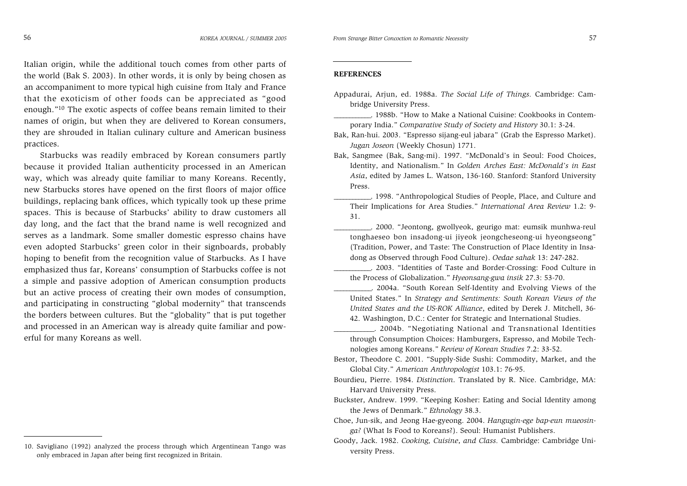Italian origin, while the additional touch comes from other parts of the world (Bak S. 2003). In other words, it is only by being chosen as an accompaniment to more typical high cuisine from Italy and France that the exoticism of other foods can be appreciated as "good enough."10 The exotic aspects of coffee beans remain limited to their names of origin, but when they are delivered to Korean consumers, they are shrouded in Italian culinary culture and American business practices.

Starbucks was readily embraced by Korean consumers partly because it provided Italian authenticity processed in an American way, which was already quite familiar to many Koreans. Recently, new Starbucks stores have opened on the first floors of major office buildings, replacing bank offices, which typically took up these prime spaces. This is because of Starbucks' ability to draw customers all day long, and the fact that the brand name is well recognized and serves as a landmark. Some smaller domestic espresso chains have even adopted Starbucks' green color in their signboards, probably hoping to benefit from the recognition value of Starbucks. As I have emphasized thus far, Koreans' consumption of Starbucks coffee is not a simple and passive adoption of American consumption products but an active process of creating their own modes of consumption, and participating in constructing "global modernity" that transcends the borders between cultures. But the "globality" that is put together and processed in an American way is already quite familiar and powerful for many Koreans as well.

#### **REFERENCES**

- Appadurai, Arjun, ed. 1988a. *The Social Life of Things.* Cambridge: Cambridge University Press.
- \_\_\_\_\_\_\_\_\_\_\_\_. 1988b. "How to Make a National Cuisine: Cookbooks in Contemporary India." *Comparative Study of Society and History* 30.1: 3-24.

- Bak, Sangmee (Bak, Sang-mi). 1997. "McDonald's in Seoul: Food Choices, Identity, and Nationalism." In *Golden Arches East: McDonald's in East Asia*, edited by James L. Watson, 136-160. Stanford: Stanford University Press.
	- \_\_\_\_\_\_\_\_\_\_\_\_. 1998. "Anthropological Studies of People, Place, and Culture and Their Implications for Area Studies." *International Area Review* 1.2: 9- 31.
	- \_\_\_\_\_\_\_\_\_\_\_\_. 2000. "Jeontong, gwollyeok, geurigo mat: eumsik munhwa-reul tonghaeseo bon insadong-ui jiyeok jeongcheseong-ui hyeongseong" (Tradition, Power, and Taste: The Construction of Place Identity in Insadong as Observed through Food Culture). *Oedae sahak* 13: 247-282.

\_\_\_\_\_\_\_\_\_\_\_\_. 2003. "Identities of Taste and Border-Crossing: Food Culture in the Process of Globalization." *Hyeonsang-gwa insik* 27.3: 53-70.

- \_\_\_\_\_\_\_\_\_\_\_\_. 2004a. "South Korean Self-Identity and Evolving Views of the United States." In *Strategy and Sentiments: South Korean Views of the United States and the US-ROK Alliance*, edited by Derek J. Mitchell, 36- 42. Washington, D.C.: Center for Strategic and International Studies.
- \_\_\_\_\_\_\_\_\_\_\_\_. 2004b. "Negotiating National and Transnational Identities through Consumption Choices: Hamburgers, Espresso, and Mobile Technologies among Koreans." *Review of Korean Studies* 7.2: 33-52.
- Bestor, Theodore C. 2001. "Supply-Side Sushi: Commodity, Market, and the Global City." *American Anthropologist* 103.1: 76-95.
- Bourdieu, Pierre. 1984. *Distinction*. Translated by R. Nice. Cambridge, MA: Harvard University Press.
- Buckster, Andrew. 1999. "Keeping Kosher: Eating and Social Identity among the Jews of Denmark." *Ethnology* 38.3.

<sup>10.</sup> Savigliano (1992) analyzed the process through which Argentinean Tango was only embraced in Japan after being first recognized in Britain.

*From Strange Bitter Concoction to Romantic Necessity* 57

Bak, Ran-hui. 2003. "Espresso sijang-eul jabara" (Grab the Espresso Market). *Jugan Joseon* (Weekly Chosun) 1771.

Choe, Jun-sik, and Jeong Hae-gyeong. 2004. *Hangugin-ege bap-eun mueosinga?* (What Is Food to Koreans?). Seoul: Humanist Publishers.

Goody, Jack. 1982. *Cooking, Cuisine*, *and Class.* Cambridge: Cambridge University Press.